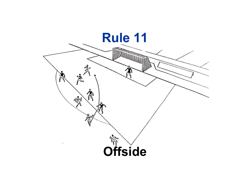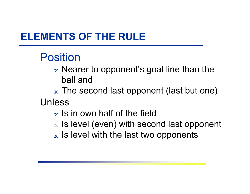# Position

- $\mathrm{\mathbf{\mathbf{x}}}$  Nearer to opponent's goal line than the ball and
- $_\mathrm{\text{x}}$  The second last opponent (last but one) Unless
	- $_\mathrm{\text{x}}$  Is in own half of the field
	- $\mathrm{\mathbf{\mathbf{x}}}$  Is level (even) with second last opponent
	- $\mathrm{\mathbf{\mathbf{x}}}$  Is level with the last two opponents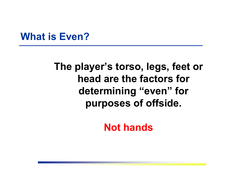#### **What is Even?**

### **The player's torso, legs, feet or head are the factors for determining "even" for purposes of offside.**

**Not hands**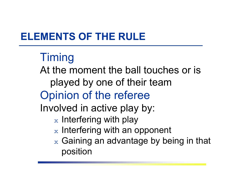# **Timing**

At the moment the ball touches or is played by one of their team Opinion of the referee

Involved in active play by:

- $_\mathrm{\text{x}}$  Interfering with play
- $\mathrm{\mathbf{\mathbf{x}}}$  Interfering with an opponent
- $\mathrm{_{x}}$  Gaining an advantage by being in that position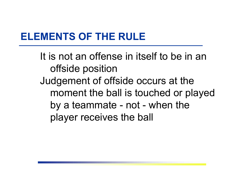It is not an offense in itself to be in an offside position Judgement of offside occurs at the moment the ball is touched or played by a teammate - not - when the player receives the ball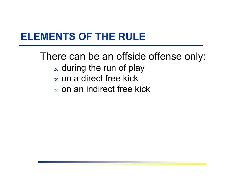There can be an offside offense only:  $\mathrm{\mathsf{x}}$  during the run of play  $\rm{_{\rm x}}$  on a direct free kick  $\mathrm{\mathbf{\mathbf{x}}}$  on an indirect free kick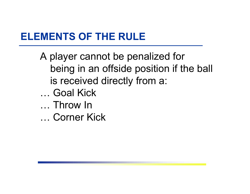- A player cannot be penalized for being in an offside position if the ball is received directly from a: … Goal Kick… Throw In
- … Corner Kick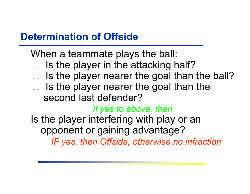#### **Determination of Offside**

When a teammate plays the ball:

- . . Is the player in the attacking half?
- . . Is the player nearer the goal than the ball?
- .. Is the player nearer the goal than the

second last defender?

#### *If yes to above, then*

Is the player interfering with play or an opponent or gaining advantage?

*IF yes, then Offside, otherwise no infraction*